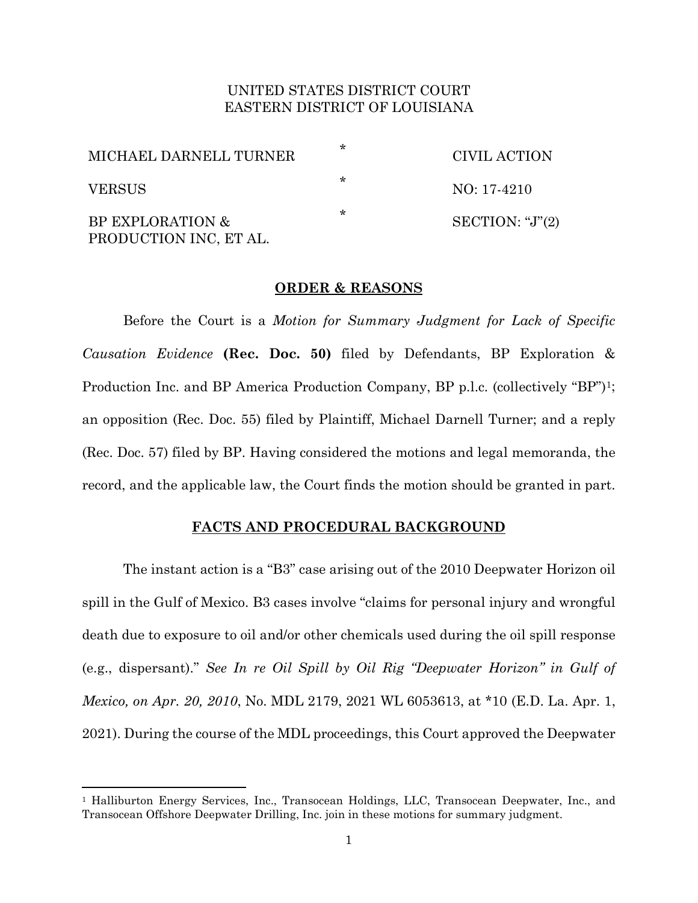# UNITED STATES DISTRICT COURT EASTERN DISTRICT OF LOUISIANA

| MICHAEL DARNELL TURNER                     | ÷ | CIVIL ACTION           |
|--------------------------------------------|---|------------------------|
| <b>VERSUS</b>                              | ∗ | $NO: 17-4210$          |
| BP EXPLORATION &<br>PRODUCTION INC, ET AL. | ∗ | SECTION: " $J$ " $(2)$ |

## **ORDER & REASONS**

Before the Court is a *Motion for Summary Judgment for Lack of Specific Causation Evidence* **(Rec. Doc. 50)** filed by Defendants, BP Exploration & Production Inc. and BP America Production Company, BP p.l.c. (collectively "BP")1; an opposition (Rec. Doc. 55) filed by Plaintiff, Michael Darnell Turner; and a reply (Rec. Doc. 57) filed by BP. Having considered the motions and legal memoranda, the record, and the applicable law, the Court finds the motion should be granted in part.

### **FACTS AND PROCEDURAL BACKGROUND**

The instant action is a "B3" case arising out of the 2010 Deepwater Horizon oil spill in the Gulf of Mexico. B3 cases involve "claims for personal injury and wrongful death due to exposure to oil and/or other chemicals used during the oil spill response (e.g., dispersant)." *See In re Oil Spill by Oil Rig "Deepwater Horizon" in Gulf of Mexico, on Apr. 20, 2010*, No. MDL 2179, 2021 WL 6053613, at \*10 (E.D. La. Apr. 1, 2021). During the course of the MDL proceedings, this Court approved the Deepwater

<sup>1</sup> Halliburton Energy Services, Inc., Transocean Holdings, LLC, Transocean Deepwater, Inc., and Transocean Offshore Deepwater Drilling, Inc. join in these motions for summary judgment.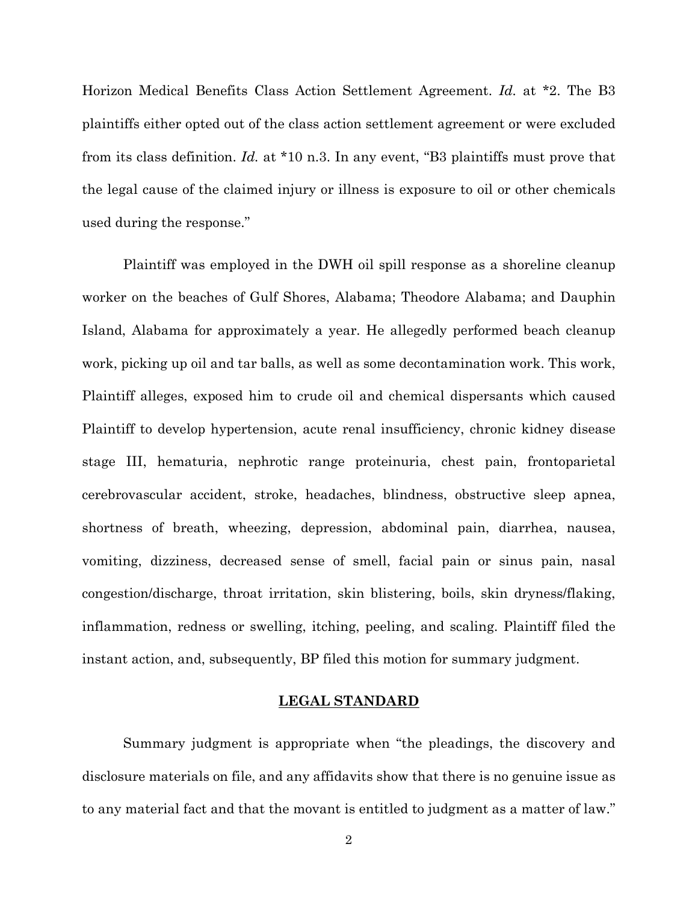Horizon Medical Benefits Class Action Settlement Agreement. *Id.* at \*2. The B3 plaintiffs either opted out of the class action settlement agreement or were excluded from its class definition. *Id.* at \*10 n.3. In any event, "B3 plaintiffs must prove that the legal cause of the claimed injury or illness is exposure to oil or other chemicals used during the response."

Plaintiff was employed in the DWH oil spill response as a shoreline cleanup worker on the beaches of Gulf Shores, Alabama; Theodore Alabama; and Dauphin Island, Alabama for approximately a year. He allegedly performed beach cleanup work, picking up oil and tar balls, as well as some decontamination work. This work, Plaintiff alleges, exposed him to crude oil and chemical dispersants which caused Plaintiff to develop hypertension, acute renal insufficiency, chronic kidney disease stage III, hematuria, nephrotic range proteinuria, chest pain, frontoparietal cerebrovascular accident, stroke, headaches, blindness, obstructive sleep apnea, shortness of breath, wheezing, depression, abdominal pain, diarrhea, nausea, vomiting, dizziness, decreased sense of smell, facial pain or sinus pain, nasal congestion/discharge, throat irritation, skin blistering, boils, skin dryness/flaking, inflammation, redness or swelling, itching, peeling, and scaling. Plaintiff filed the instant action, and, subsequently, BP filed this motion for summary judgment.

## **LEGAL STANDARD**

Summary judgment is appropriate when "the pleadings, the discovery and disclosure materials on file, and any affidavits show that there is no genuine issue as to any material fact and that the movant is entitled to judgment as a matter of law."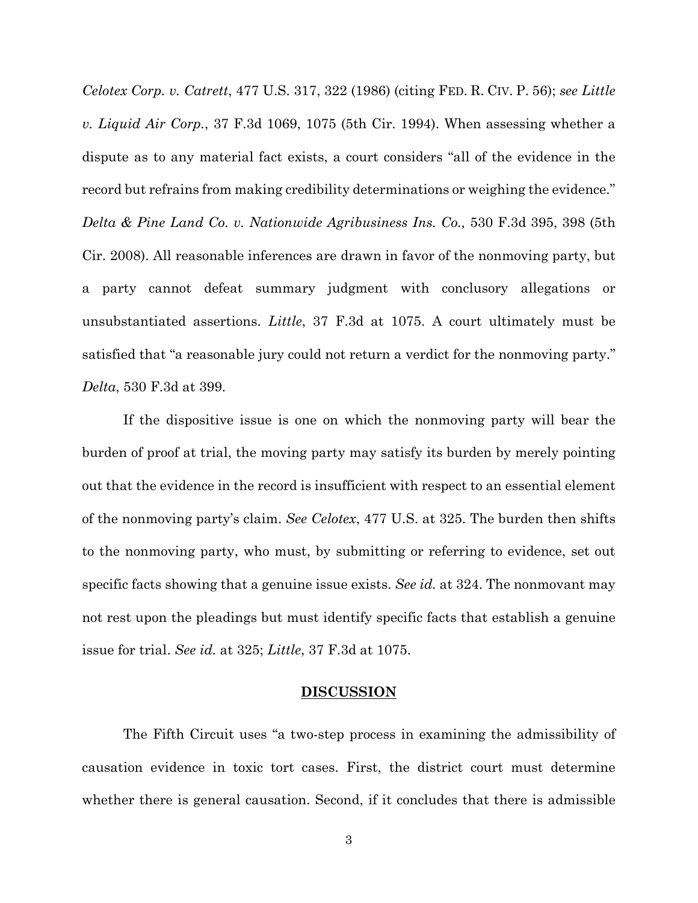*Celotex Corp. v. Catrett*, 477 U.S. 317, 322 (1986) (citing FED. R. CIV. P. 56); *see Little v. Liquid Air Corp.*, 37 F.3d 1069, 1075 (5th Cir. 1994). When assessing whether a dispute as to any material fact exists, a court considers "all of the evidence in the record but refrains from making credibility determinations or weighing the evidence." *Delta & Pine Land Co. v. Nationwide Agribusiness Ins. Co.,* 530 F.3d 395, 398 (5th Cir. 2008). All reasonable inferences are drawn in favor of the nonmoving party, but a party cannot defeat summary judgment with conclusory allegations or unsubstantiated assertions. *Little*, 37 F.3d at 1075. A court ultimately must be satisfied that "a reasonable jury could not return a verdict for the nonmoving party." *Delta*, 530 F.3d at 399.

If the dispositive issue is one on which the nonmoving party will bear the burden of proof at trial, the moving party may satisfy its burden by merely pointing out that the evidence in the record is insufficient with respect to an essential element of the nonmoving party's claim. *See Celotex*, 477 U.S. at 325. The burden then shifts to the nonmoving party, who must, by submitting or referring to evidence, set out specific facts showing that a genuine issue exists. *See id.* at 324. The nonmovant may not rest upon the pleadings but must identify specific facts that establish a genuine issue for trial. *See id.* at 325; *Little*, 37 F.3d at 1075.

#### **DISCUSSION**

The Fifth Circuit uses "a two-step process in examining the admissibility of causation evidence in toxic tort cases. First, the district court must determine whether there is general causation. Second, if it concludes that there is admissible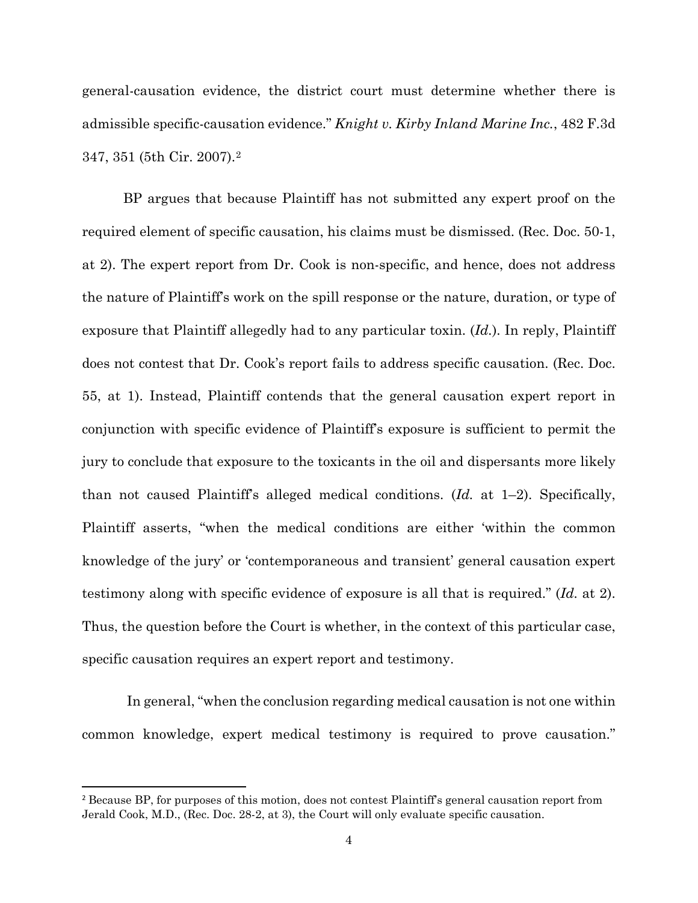general-causation evidence, the district court must determine whether there is admissible specific-causation evidence." *Knight v. Kirby Inland Marine Inc.*, 482 F.3d 347, 351 (5th Cir. 2007).2

BP argues that because Plaintiff has not submitted any expert proof on the required element of specific causation, his claims must be dismissed. (Rec. Doc. 50-1, at 2). The expert report from Dr. Cook is non-specific, and hence, does not address the nature of Plaintiff's work on the spill response or the nature, duration, or type of exposure that Plaintiff allegedly had to any particular toxin. (*Id.*). In reply, Plaintiff does not contest that Dr. Cook's report fails to address specific causation. (Rec. Doc. 55, at 1). Instead, Plaintiff contends that the general causation expert report in conjunction with specific evidence of Plaintiff's exposure is sufficient to permit the jury to conclude that exposure to the toxicants in the oil and dispersants more likely than not caused Plaintiff's alleged medical conditions. (*Id.* at 1–2). Specifically, Plaintiff asserts, "when the medical conditions are either 'within the common knowledge of the jury' or 'contemporaneous and transient' general causation expert testimony along with specific evidence of exposure is all that is required." (*Id.* at 2). Thus, the question before the Court is whether, in the context of this particular case, specific causation requires an expert report and testimony.

 In general, "when the conclusion regarding medical causation is not one within common knowledge, expert medical testimony is required to prove causation."

<sup>&</sup>lt;sup>2</sup> Because BP, for purposes of this motion, does not contest Plaintiff's general causation report from Jerald Cook, M.D., (Rec. Doc. 28-2, at 3), the Court will only evaluate specific causation.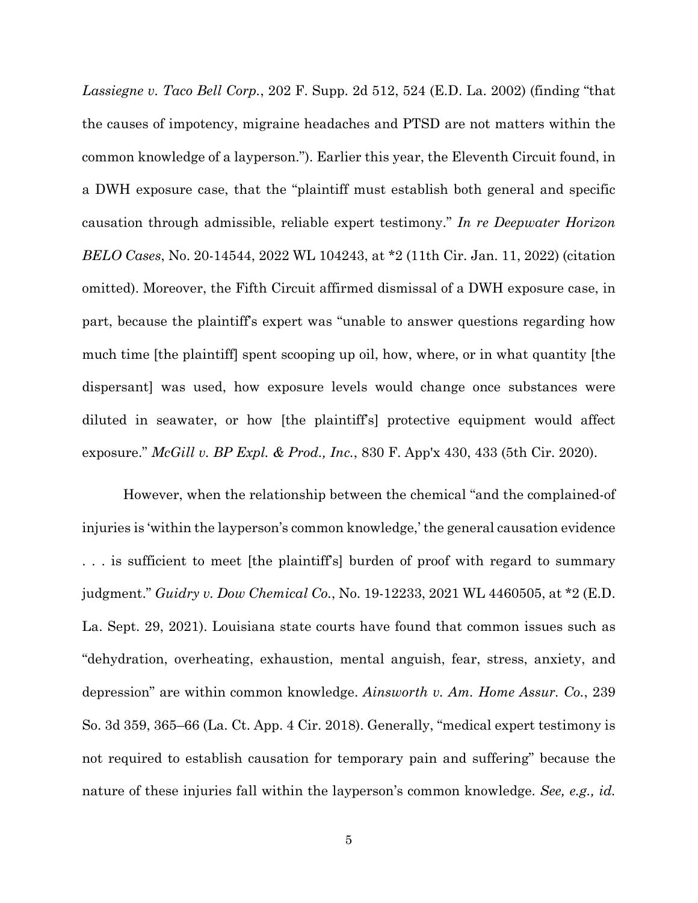*Lassiegne v. Taco Bell Corp.*, 202 F. Supp. 2d 512, 524 (E.D. La. 2002) (finding "that the causes of impotency, migraine headaches and PTSD are not matters within the common knowledge of a layperson."). Earlier this year, the Eleventh Circuit found, in a DWH exposure case, that the "plaintiff must establish both general and specific causation through admissible, reliable expert testimony." *In re Deepwater Horizon BELO Cases*, No. 20-14544, 2022 WL 104243, at \*2 (11th Cir. Jan. 11, 2022) (citation omitted). Moreover, the Fifth Circuit affirmed dismissal of a DWH exposure case, in part, because the plaintiff's expert was "unable to answer questions regarding how much time [the plaintiff] spent scooping up oil, how, where, or in what quantity [the dispersant] was used, how exposure levels would change once substances were diluted in seawater, or how [the plaintiff's] protective equipment would affect exposure." *McGill v. BP Expl. & Prod., Inc.*, 830 F. App'x 430, 433 (5th Cir. 2020).

However, when the relationship between the chemical "and the complained-of injuries is 'within the layperson's common knowledge,' the general causation evidence . . . is sufficient to meet [the plaintiff's] burden of proof with regard to summary judgment." *Guidry v. Dow Chemical Co.*, No. 19-12233, 2021 WL 4460505, at \*2 (E.D. La. Sept. 29, 2021). Louisiana state courts have found that common issues such as "dehydration, overheating, exhaustion, mental anguish, fear, stress, anxiety, and depression" are within common knowledge. *Ainsworth v. Am. Home Assur. Co.*, 239 So. 3d 359, 365–66 (La. Ct. App. 4 Cir. 2018). Generally, "medical expert testimony is not required to establish causation for temporary pain and suffering" because the nature of these injuries fall within the layperson's common knowledge. *See, e.g., id.*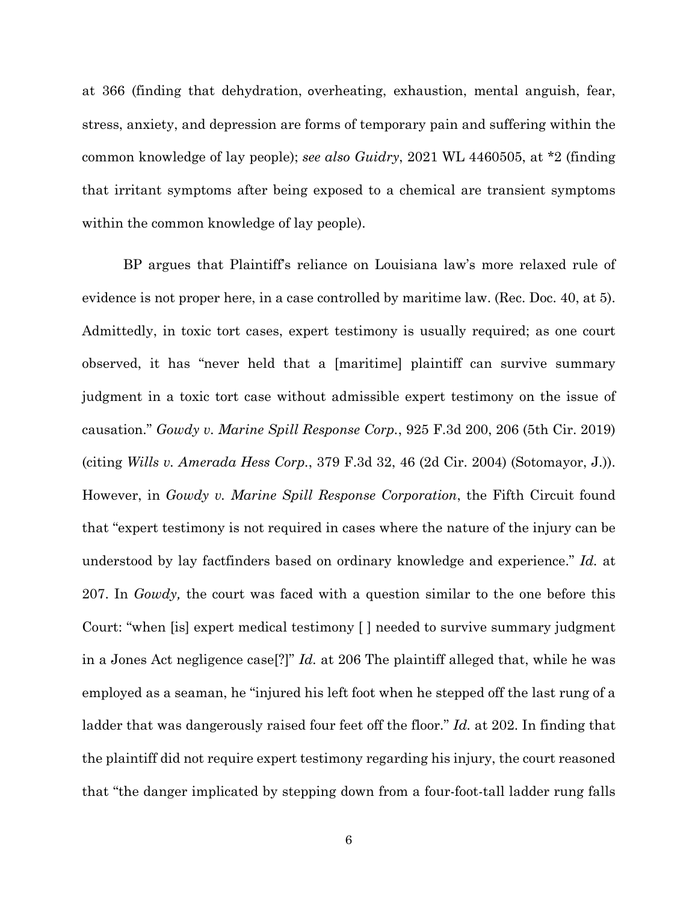at 366 (finding that dehydration, overheating, exhaustion, mental anguish, fear, stress, anxiety, and depression are forms of temporary pain and suffering within the common knowledge of lay people); *see also Guidry*, 2021 WL 4460505, at \*2 (finding that irritant symptoms after being exposed to a chemical are transient symptoms within the common knowledge of lay people).

BP argues that Plaintiff's reliance on Louisiana law's more relaxed rule of evidence is not proper here, in a case controlled by maritime law. (Rec. Doc. 40, at 5). Admittedly, in toxic tort cases, expert testimony is usually required; as one court observed, it has "never held that a [maritime] plaintiff can survive summary judgment in a toxic tort case without admissible expert testimony on the issue of causation." *Gowdy v. Marine Spill Response Corp.*, 925 F.3d 200, 206 (5th Cir. 2019) (citing *Wills v. Amerada Hess Corp.*, 379 F.3d 32, 46 (2d Cir. 2004) (Sotomayor, J.)). However, in *Gowdy v. Marine Spill Response Corporation*, the Fifth Circuit found that "expert testimony is not required in cases where the nature of the injury can be understood by lay factfinders based on ordinary knowledge and experience." *Id.* at 207. In *Gowdy,* the court was faced with a question similar to the one before this Court: "when [is] expert medical testimony [ ] needed to survive summary judgment in a Jones Act negligence case[?]" *Id.* at 206 The plaintiff alleged that, while he was employed as a seaman, he "injured his left foot when he stepped off the last rung of a ladder that was dangerously raised four feet off the floor." *Id.* at 202. In finding that the plaintiff did not require expert testimony regarding his injury, the court reasoned that "the danger implicated by stepping down from a four-foot-tall ladder rung falls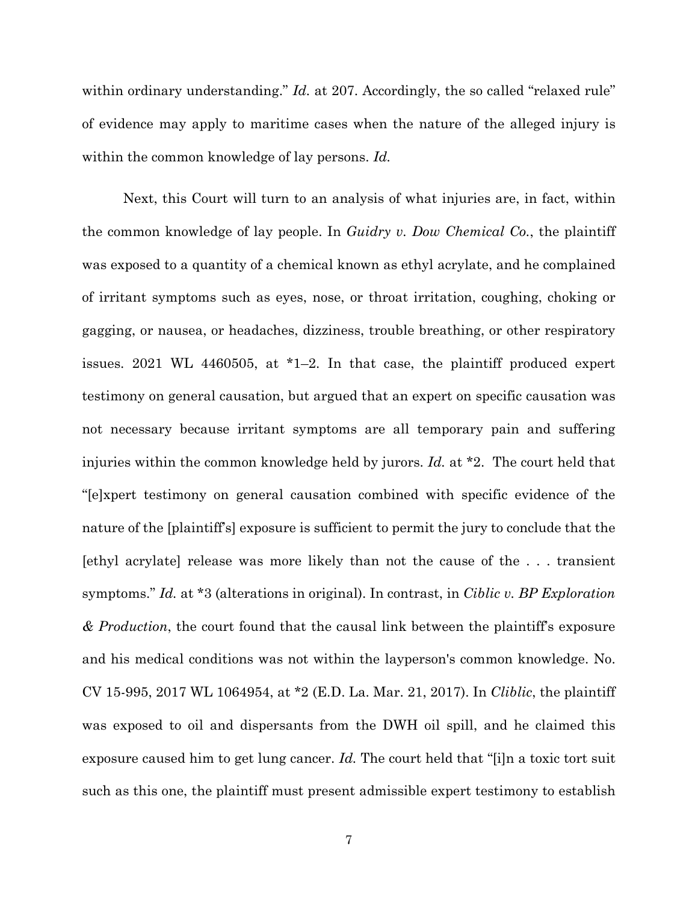within ordinary understanding." *Id.* at 207. Accordingly, the so called "relaxed rule" of evidence may apply to maritime cases when the nature of the alleged injury is within the common knowledge of lay persons. *Id.*

Next, this Court will turn to an analysis of what injuries are, in fact, within the common knowledge of lay people. In *Guidry v. Dow Chemical Co.*, the plaintiff was exposed to a quantity of a chemical known as ethyl acrylate, and he complained of irritant symptoms such as eyes, nose, or throat irritation, coughing, choking or gagging, or nausea, or headaches, dizziness, trouble breathing, or other respiratory issues. 2021 WL 4460505, at \*1–2. In that case, the plaintiff produced expert testimony on general causation, but argued that an expert on specific causation was not necessary because irritant symptoms are all temporary pain and suffering injuries within the common knowledge held by jurors. *Id.* at \*2. The court held that "[e]xpert testimony on general causation combined with specific evidence of the nature of the [plaintiff's] exposure is sufficient to permit the jury to conclude that the [ethyl acrylate] release was more likely than not the cause of the . . . transient symptoms." *Id.* at \*3 (alterations in original). In contrast, in *Ciblic v. BP Exploration & Production*, the court found that the causal link between the plaintiff's exposure and his medical conditions was not within the layperson's common knowledge. No. CV 15-995, 2017 WL 1064954, at \*2 (E.D. La. Mar. 21, 2017). In *Cliblic*, the plaintiff was exposed to oil and dispersants from the DWH oil spill, and he claimed this exposure caused him to get lung cancer. *Id.* The court held that "[i]n a toxic tort suit such as this one, the plaintiff must present admissible expert testimony to establish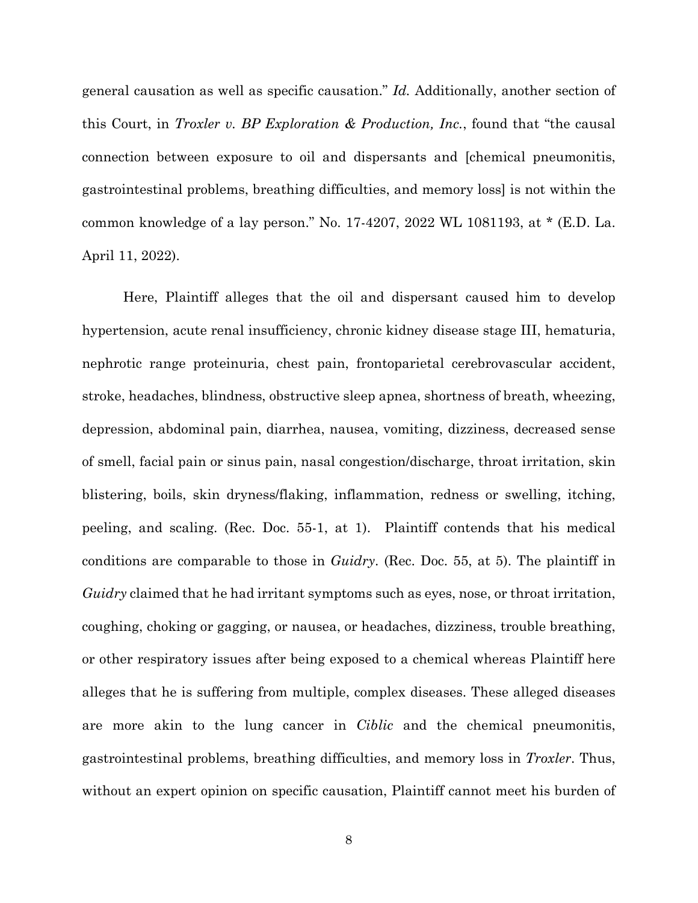general causation as well as specific causation." *Id.* Additionally, another section of this Court, in *Troxler v. BP Exploration & Production, Inc.*, found that "the causal connection between exposure to oil and dispersants and [chemical pneumonitis, gastrointestinal problems, breathing difficulties, and memory loss] is not within the common knowledge of a lay person." No. 17-4207, 2022 WL 1081193, at \* (E.D. La. April 11, 2022).

Here, Plaintiff alleges that the oil and dispersant caused him to develop hypertension, acute renal insufficiency, chronic kidney disease stage III, hematuria, nephrotic range proteinuria, chest pain, frontoparietal cerebrovascular accident, stroke, headaches, blindness, obstructive sleep apnea, shortness of breath, wheezing, depression, abdominal pain, diarrhea, nausea, vomiting, dizziness, decreased sense of smell, facial pain or sinus pain, nasal congestion/discharge, throat irritation, skin blistering, boils, skin dryness/flaking, inflammation, redness or swelling, itching, peeling, and scaling. (Rec. Doc. 55-1, at 1). Plaintiff contends that his medical conditions are comparable to those in *Guidry*. (Rec. Doc. 55, at 5). The plaintiff in *Guidry* claimed that he had irritant symptoms such as eyes, nose, or throat irritation, coughing, choking or gagging, or nausea, or headaches, dizziness, trouble breathing, or other respiratory issues after being exposed to a chemical whereas Plaintiff here alleges that he is suffering from multiple, complex diseases. These alleged diseases are more akin to the lung cancer in *Ciblic* and the chemical pneumonitis, gastrointestinal problems, breathing difficulties, and memory loss in *Troxler*. Thus, without an expert opinion on specific causation, Plaintiff cannot meet his burden of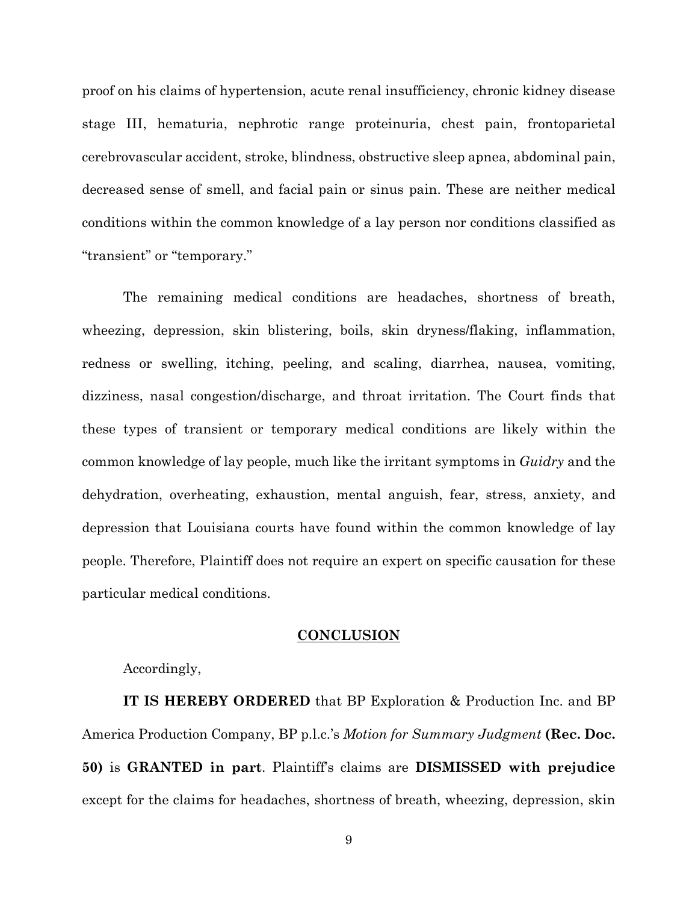proof on his claims of hypertension, acute renal insufficiency, chronic kidney disease stage III, hematuria, nephrotic range proteinuria, chest pain, frontoparietal cerebrovascular accident, stroke, blindness, obstructive sleep apnea, abdominal pain, decreased sense of smell, and facial pain or sinus pain. These are neither medical conditions within the common knowledge of a lay person nor conditions classified as "transient" or "temporary."

The remaining medical conditions are headaches, shortness of breath, wheezing, depression, skin blistering, boils, skin dryness/flaking, inflammation, redness or swelling, itching, peeling, and scaling, diarrhea, nausea, vomiting, dizziness, nasal congestion/discharge, and throat irritation. The Court finds that these types of transient or temporary medical conditions are likely within the common knowledge of lay people, much like the irritant symptoms in *Guidry* and the dehydration, overheating, exhaustion, mental anguish, fear, stress, anxiety, and depression that Louisiana courts have found within the common knowledge of lay people. Therefore, Plaintiff does not require an expert on specific causation for these particular medical conditions.

# **CONCLUSION**

Accordingly,

**IT IS HEREBY ORDERED** that BP Exploration & Production Inc. and BP America Production Company, BP p.l.c.'s *Motion for Summary Judgment* **(Rec. Doc. 50)** is **GRANTED in part**. Plaintiff's claims are **DISMISSED with prejudice** except for the claims for headaches, shortness of breath, wheezing, depression, skin